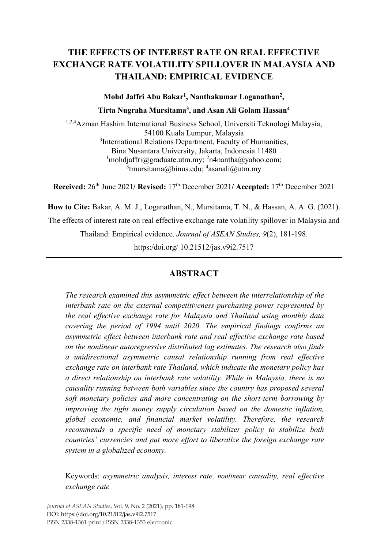# **THE EFFECTS OF INTEREST RATE ON REAL EFFECTIVE EXCHANGE RATE VOLATILITY SPILLOVER IN MALAYSIA AND THAILAND: EMPIRICAL EVIDENCE**

**Mohd Jaffri Abu Bakar1 , Nanthakumar Loganathan2 ,**

**Tirta Nugraha Mursitama3, and Asan Ali Golam Hassan4**

<sup>1,2,4</sup>Azman Hashim International Business School, Universiti Teknologi Malaysia, 54100 Kuala Lumpur, Malaysia <sup>3</sup>International Relations Department, Faculty of Humanities, Bina Nusantara University, Jakarta, Indonesia 11480  $1$ [mohdjaffri@graduate.utm.my;](mailto:mohdjaffri@graduate.utm.my;)  $2n4$ nantha@yahoo.com;  $^3$ [tmursitama@binus.edu;](mailto:tmursitama@binus.edu;) <sup>4</sup>[asanali@utm.my](mailto:asanali@utm.my)

**Received:** 26th June 2021**/ Revised:** 17th December 2021**/ Accepted:** 17th December 2021

**How to Cite:** Bakar, A. M. J., Loganathan, N., Mursitama, T. N., & Hassan, A. A. G. (2021).

The effects of interest rate on real effective exchange rate volatility spillover in Malaysia and

Thailand: Empirical evidence. *Journal of ASEAN Studies, 9*(2), 181-198.

https:/doi.org/ 10.21512/jas.v9i2.7517

# **ABSTRACT**

*The research examined this asymmetric effect between the interrelationship of the interbank rate on the external competitiveness purchasing power represented by the real effective exchange rate for Malaysia and Thailand using monthly data covering the period of 1994 until 2020. The empirical findings confirms an asymmetric effect between interbank rate and real effective exchange rate based on the nonlinear autoregressive distributed lag estimates. The research also finds a unidirectional asymmetric causal relationship running from real effective exchange rate on interbank rate Thailand, which indicate the monetary policy has a direct relationship on interbank rate volatility. While in Malaysia, there is no causality running between both variables since the country has proposed several soft monetary policies and more concentrating on the short-term borrowing by improving the tight money supply circulation based on the domestic inflation, global economic, and financial market volatility. Therefore, the research recommends a specific need of monetary stabilizer policy to stabilize both countries' currencies and put more effort to liberalize the foreign exchange rate system in a globalized economy.* 

Keywords: *asymmetric analysis, interest rate, nonlinear causality, real effective exchange rate*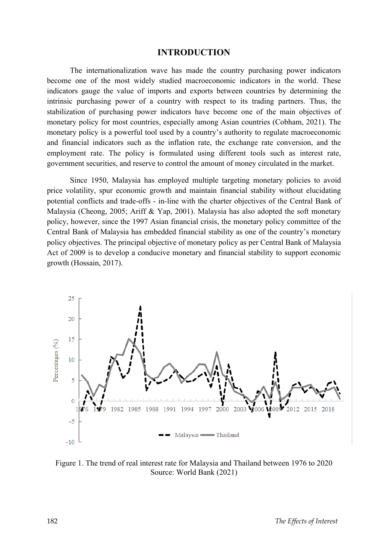#### **INTRODUCTION**

The internationalization wave has made the country purchasing power indicators become one of the most widely studied macroeconomic indicators in the world. These indicators gauge the value of imports and exports between countries by determining the intrinsic purchasing power of a country with respect to its trading partners. Thus, the stabilization of purchasing power indicators have become one of the main objectives of monetary policy for most countries, especially among Asian countries (Cobham, 2021). The monetary policy is a powerful tool used by a country's authority to regulate macroeconomic and financial indicators such as the inflation rate, the exchange rate conversion, and the employment rate. The policy is formulated using different tools such as interest rate, government securities, and reserve to control the amount of money circulated in the market.

Since 1950, Malaysia has employed multiple targeting monetary policies to avoid price volatility, spur economic growth and maintain financial stability without elucidating potential conflicts and trade-offs - in-line with the charter objectives of the Central Bank of Malaysia (Cheong, 2005; Ariff & Yap, 2001). Malaysia has also adopted the soft monetary policy, however, since the 1997 Asian financial crisis, the monetary policy committee of the Central Bank of Malaysia has embedded financial stability as one of the country's monetary policy objectives. The principal objective of monetary policy as per Central Bank of Malaysia Act of 2009 is to develop a conducive monetary and financial stability to support economic growth (Hossain, 2017).



Figure 1. The trend of real interest rate for Malaysia and Thailand between 1976 to 2020 Source: World Bank (2021)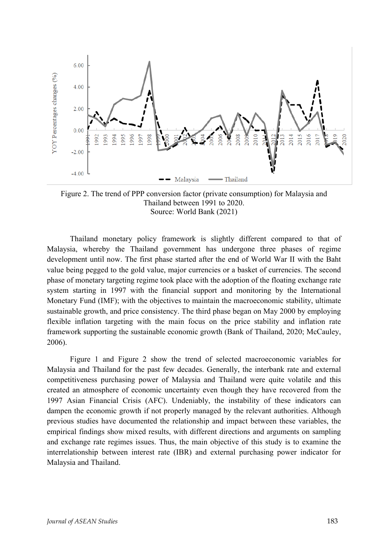

Figure 2. The trend of PPP conversion factor (private consumption) for Malaysia and Thailand between 1991 to 2020. Source: World Bank (2021)

Thailand monetary policy framework is slightly different compared to that of Malaysia, whereby the Thailand government has undergone three phases of regime development until now. The first phase started after the end of World War II with the Baht value being pegged to the gold value, major currencies or a basket of currencies. The second phase of monetary targeting regime took place with the adoption of the floating exchange rate system starting in 1997 with the financial support and monitoring by the International Monetary Fund (IMF); with the objectives to maintain the macroeconomic stability, ultimate sustainable growth, and price consistency. The third phase began on May 2000 by employing flexible inflation targeting with the main focus on the price stability and inflation rate framework supporting the sustainable economic growth (Bank of Thailand, 2020; McCauley, 2006).

Figure 1 and Figure 2 show the trend of selected macroeconomic variables for Malaysia and Thailand for the past few decades. Generally, the interbank rate and external competitiveness purchasing power of Malaysia and Thailand were quite volatile and this created an atmosphere of economic uncertainty even though they have recovered from the 1997 Asian Financial Crisis (AFC). Undeniably, the instability of these indicators can dampen the economic growth if not properly managed by the relevant authorities. Although previous studies have documented the relationship and impact between these variables, the empirical findings show mixed results, with different directions and arguments on sampling and exchange rate regimes issues. Thus, the main objective of this study is to examine the interrelationship between interest rate (IBR) and external purchasing power indicator for Malaysia and Thailand.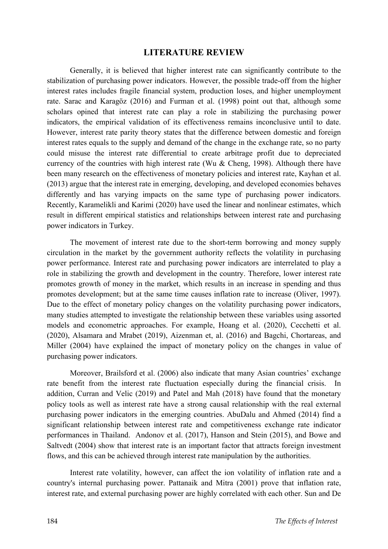### **LITERATURE REVIEW**

Generally, it is believed that higher interest rate can significantly contribute to the stabilization of purchasing power indicators. However, the possible trade-off from the higher interest rates includes fragile financial system, production loses, and higher unemployment rate. Sarac and Karagöz (2016) and Furman et al. (1998) point out that, although some scholars opined that interest rate can play a role in stabilizing the purchasing power indicators, the empirical validation of its effectiveness remains inconclusive until to date. However, interest rate parity theory states that the difference between domestic and foreign interest rates equals to the supply and demand of the change in the exchange rate, so no party could misuse the interest rate differential to create arbitrage profit due to depreciated currency of the countries with high interest rate (Wu  $&$  Cheng, 1998). Although there have been many research on the effectiveness of monetary policies and interest rate, Kayhan et al. (2013) argue that the interest rate in emerging, developing, and developed economies behaves differently and has varying impacts on the same type of purchasing power indicators. Recently, Karamelikli and Karimi (2020) have used the linear and nonlinear estimates, which result in different empirical statistics and relationships between interest rate and purchasing power indicators in Turkey.

The movement of interest rate due to the short-term borrowing and money supply circulation in the market by the government authority reflects the volatility in purchasing power performance. Interest rate and purchasing power indicators are interrelated to play a role in stabilizing the growth and development in the country. Therefore, lower interest rate promotes growth of money in the market, which results in an increase in spending and thus promotes development; but at the same time causes inflation rate to increase (Oliver, 1997). Due to the effect of monetary policy changes on the volatility purchasing power indicators, many studies attempted to investigate the relationship between these variables using assorted models and econometric approaches. For example, Hoang et al. (2020), Cecchetti et al. (2020), Alsamara and Mrabet (2019), Aizenman et, al. (2016) and Bagchi, Chortareas, and Miller (2004) have explained the impact of monetary policy on the changes in value of purchasing power indicators.

Moreover, Brailsford et al. (2006) also indicate that many Asian countries' exchange rate benefit from the interest rate fluctuation especially during the financial crisis. In addition, Curran and Velic (2019) and Patel and Mah (2018) have found that the monetary policy tools as well as interest rate have a strong causal relationship with the real external purchasing power indicators in the emerging countries. AbuDalu and Ahmed (2014) find a significant relationship between interest rate and competitiveness exchange rate indicator performances in Thailand. Andonov et al. (2017), Hanson and Stein (2015), and Bowe and Saltvedt (2004) show that interest rate is an important factor that attracts foreign investment flows, and this can be achieved through interest rate manipulation by the authorities.

Interest rate volatility, however, can affect the ion volatility of inflation rate and a country's internal purchasing power. Pattanaik and Mitra (2001) prove that inflation rate, interest rate, and external purchasing power are highly correlated with each other. Sun and De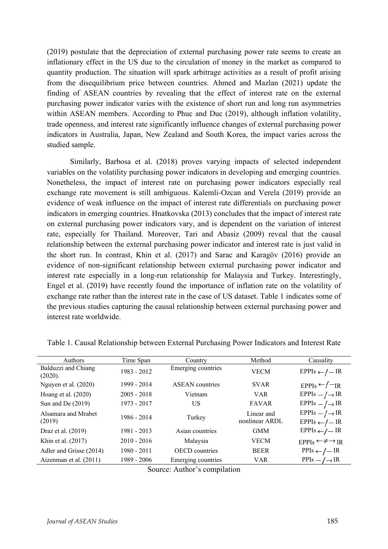(2019) postulate that the depreciation of external purchasing power rate seems to create an inflationary effect in the US due to the circulation of money in the market as compared to quantity production. The situation will spark arbitrage activities as a result of profit arising from the disequilibrium price between countries. Ahmed and Mazlan (2021) update the finding of ASEAN countries by revealing that the effect of interest rate on the external purchasing power indicator varies with the existence of short run and long run asymmetries within ASEAN members. According to Phuc and Duc (2019), although inflation volatility, trade openness, and interest rate significantly influence changes of external purchasing power indicators in Australia, Japan, New Zealand and South Korea, the impact varies across the studied sample.

Similarly, Barbosa et al. (2018) proves varying impacts of selected independent variables on the volatility purchasing power indicators in developing and emerging countries. Nonetheless, the impact of interest rate on purchasing power indicators especially real exchange rate movement is still ambiguous. Kalemli-Ozcan and Verela (2019) provide an evidence of weak influence on the impact of interest rate differentials on purchasing power indicators in emerging countries. Hnatkovska (2013) concludes that the impact of interest rate on external purchasing power indicators vary, and is dependent on the variation of interest rate, especially for Thailand. Moreover, Tari and Abasiz (2009) reveal that the causal relationship between the external purchasing power indicator and interest rate is just valid in the short run. In contrast, Khin et al. (2017) and Sarac and Karagöv (2016) provide an evidence of non-significant relationship between external purchasing power indicator and interest rate especially in a long-run relationship for Malaysia and Turkey. Interestingly, Engel et al. (2019) have recently found the importance of inflation rate on the volatility of exchange rate rather than the interest rate in the case of US dataset. Table 1 indicates some of the previous studies capturing the causal relationship between external purchasing power and interest rate worldwide.

| Authors                        | Time Span     | Country                | Method                       | Causality                                               |
|--------------------------------|---------------|------------------------|------------------------------|---------------------------------------------------------|
| Balduzzi and Chiang<br>(2020). | 1983 - 2012   | Emerging countries     | <b>VECM</b>                  | $EPPIs \leftarrow / - IR$                               |
| Nguyen et al. (2020)           | 1999 - 2014   | <b>ASEAN</b> countries | <b>SVAR</b>                  | $EPPIs \leftarrow -IR$                                  |
| Hoang et al. $(2020)$          | $2005 - 2018$ | Vietnam                | <b>VAR</b>                   | $EPPIs - / \rightarrow IR$                              |
| Sun and De $(2019)$            | 1973 - 2017   | US                     | <b>FAVAR</b>                 | $EPPIs - / \rightarrow IR$                              |
| Alsamara and Mrabet<br>(2019)  | 1986 - 2014   | Turkey                 | Linear and<br>nonlinear ARDL | $EPPIs - / \rightarrow IR$<br>$EPPIs \leftarrow / - IR$ |
| Draz et al. (2019)             | 1981 - 2013   | Asian countries        | <b>GMM</b>                   | EPPIs ← $I$ – IR                                        |
| Khin et al. (2017)             | $2010 - 2016$ | Malaysia               | <b>VECM</b>                  | $EPPIs \leftarrow \neq \rightarrow IR$                  |
| Adler and Grisse (2014)        | $1980 - 2011$ | <b>OECD</b> countries  | <b>BEER</b>                  | $PPIs \leftarrow / - IR$                                |
| Aizenman et al. (2011)         | 1989 - 2006   | Emerging countries     | <b>VAR</b>                   | $PPIs - / \rightarrow IR$                               |

Table 1. Causal Relationship between External Purchasing Power Indicators and Interest Rate

Source: Author's compilation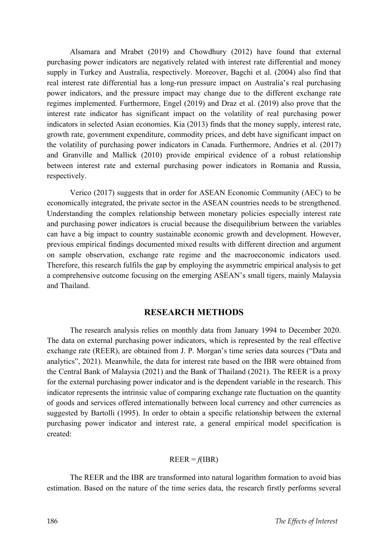Alsamara and Mrabet (2019) and Chowdhury (2012) have found that external purchasing power indicators are negatively related with interest rate differential and money supply in Turkey and Australia, respectively. Moreover, Bagchi et al. (2004) also find that real interest rate differential has a long-run pressure impact on Australia's real purchasing power indicators, and the pressure impact may change due to the different exchange rate regimes implemented. Furthermore, Engel (2019) and Draz et al. (2019) also prove that the interest rate indicator has significant impact on the volatility of real purchasing power indicators in selected Asian economies. Kia (2013) finds that the money supply, interest rate, growth rate, government expenditure, commodity prices, and debt have significant impact on the volatility of purchasing power indicators in Canada. Furthermore, Andries et al. (2017) and Granville and Mallick (2010) provide empirical evidence of a robust relationship between interest rate and external purchasing power indicators in Romania and Russia, respectively.

Verico (2017) suggests that in order for ASEAN Economic Community (AEC) to be economically integrated, the private sector in the ASEAN countries needs to be strengthened. Understanding the complex relationship between monetary policies especially interest rate and purchasing power indicators is crucial because the disequilibrium between the variables can have a big impact to country sustainable economic growth and development. However, previous empirical findings documented mixed results with different direction and argument on sample observation, exchange rate regime and the macroeconomic indicators used. Therefore, this research fulfils the gap by employing the asymmetric empirical analysis to get a comprehensive outcome focusing on the emerging ASEAN's small tigers, mainly Malaysia and Thailand.

# **RESEARCH METHODS**

The research analysis relies on monthly data from January 1994 to December 2020. The data on external purchasing power indicators, which is represented by the real effective exchange rate (REER), are obtained from J. P. Morgan's time series data sources ("Data and analytics", 2021). Meanwhile, the data for interest rate based on the IBR were obtained from the Central Bank of Malaysia (2021) and the Bank of Thailand (2021). The REER is a proxy for the external purchasing power indicator and is the dependent variable in the research. This indicator represents the intrinsic value of comparing exchange rate fluctuation on the quantity of goods and services offered internationally between local currency and other currencies as suggested by Bartolli (1995). In order to obtain a specific relationship between the external purchasing power indicator and interest rate, a general empirical model specification is created:

#### $REER = f(IBR)$

The REER and the IBR are transformed into natural logarithm formation to avoid bias estimation. Based on the nature of the time series data, the research firstly performs several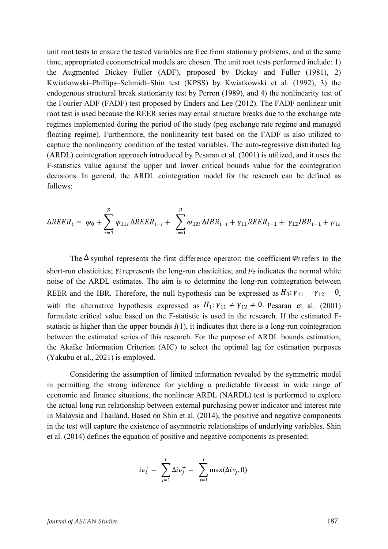unit root tests to ensure the tested variables are free from stationary problems, and at the same time, appropriated econometrical models are chosen. The unit root tests performed include: 1) the Augmented Dickey Fuller (ADF), proposed by Dickey and Fuller (1981), 2) Kwiatkowski–Phillips–Schmidt–Shin test (KPSS) by Kwiatkowski et al. (1992), 3) the endogenous structural break stationarity test by Perron (1989), and 4) the nonlinearity test of the Fourier ADF (FADF) test proposed by Enders and Lee (2012). The FADF nonlinear unit root test is used because the REER series may entail structure breaks due to the exchange rate regimes implemented during the period of the study (peg exchange rate regime and managed floating regime). Furthermore, the nonlinearity test based on the FADF is also utilized to capture the nonlinearity condition of the tested variables. The auto-regressive distributed lag (ARDL) cointegration approach introduced by Pesaran et al. (2001) is utilized, and it uses the F-statistics value against the upper and lower critical bounds value for the cointegration decisions. In general, the ARDL cointegration model for the research can be defined as follows:

$$
\Delta R E E R_t = \varphi_0 + \sum_{i=1}^p \varphi_{11i} \Delta R E E R_{t-i} + \sum_{i=0}^p \varphi_{12i} \Delta I B R_{t-i} + \gamma_{11} R E E R_{t-1} + \gamma_{12} I B R_{t-1} + \mu_{1t}
$$

The  $\Delta$  symbol represents the first difference operator; the coefficient  $\varphi_i$  refers to the short-run elasticities; Y<sub>i</sub> represents the long-run elasticities; and  $\mu_t$  indicates the normal white noise of the ARDL estimates. The aim is to determine the long-run cointegration between REER and the IBR. Therefore, the null hypothesis can be expressed as  $H_0: \gamma_{11} = \gamma_{12} = 0$ , with the alternative hypothesis expressed as  $H_1: \gamma_{11} \neq \gamma_{12} \neq 0$ . Pesaran et al. (2001) formulate critical value based on the F-statistic is used in the research. If the estimated Fstatistic is higher than the upper bounds *I*(1), it indicates that there is a long-run cointegration between the estimated series of this research. For the purpose of ARDL bounds estimation, the Akaike Information Criterion (AIC) to select the optimal lag for estimation purposes (Yakubu et al., 2021) is employed.

Considering the assumption of limited information revealed by the symmetric model in permitting the strong inference for yielding a predictable forecast in wide range of economic and finance situations, the nonlinear ARDL (NARDL) test is performed to explore the actual long run relationship between external purchasing power indicator and interest rate in Malaysia and Thailand. Based on Shin et al. (2014), the positive and negative components in the test will capture the existence of asymmetric relationships of underlying variables. Shin et al. (2014) defines the equation of positive and negative components as presented:

$$
iv_t^+ = \sum_{j=1}^t \Delta iv_j^+ = \sum_{j=1}^t \max(\Delta iv_j, 0)
$$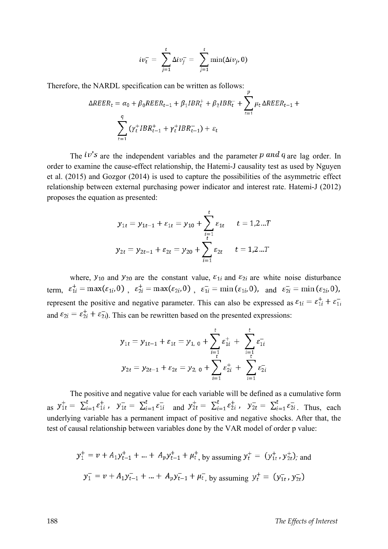$$
iv_t^- = \sum_{j=1}^t \Delta iv_j^- = \sum_{j=1}^t \min(\Delta iv_j, 0)
$$

Therefore, the NARDL specification can be written as follows:

$$
\Delta R E E R_t = \alpha_0 + \beta_0 R E E R_{t-1} + \beta_1 I B R_t^+ + \beta_2 I B R_t^- + \sum_{t=1}^r \mu_t \Delta R E E R_{t-1} + \sum_{t=1}^q (\gamma_t^+ I B R_{t-1}^+ + \gamma_t^+ I B R_{t-1}^-) + \varepsilon_t
$$

The  $iv's$  are the independent variables and the parameter  $p$  and  $q$  are lag order. In order to examine the cause-effect relationship, the Hatemi-J causality test as used by Nguyen et al. (2015) and Gozgor (2014) is used to capture the possibilities of the asymmetric effect relationship between external purchasing power indicator and interest rate. Hatemi-J (2012) proposes the equation as presented:

$$
y_{1t} = y_{1t-1} + \varepsilon_{1t} = y_{10} + \sum_{i=1}^{t} \varepsilon_{1t} \qquad t = 1, 2...T
$$
  

$$
y_{2t} = y_{2t-1} + \varepsilon_{2t} = y_{20} + \sum_{i=1}^{t} \varepsilon_{2t} \qquad t = 1, 2...T
$$

where,  $y_{10}$  and  $y_{20}$  are the constant value,  $\varepsilon_{1i}$  and  $\varepsilon_{2i}$  are white noise disturbance term,  $\varepsilon_{1i}^+ = \max(\varepsilon_{1i}, 0)$ ,  $\varepsilon_{2i}^+ = \max(\varepsilon_{2i}, 0)$ ,  $\varepsilon_{1i}^- = \min(\varepsilon_{1i}, 0)$ , and  $\varepsilon_{2i}^- = \min(\varepsilon_{2i}, 0)$ , represent the positive and negative parameter. This can also be expressed as  $\varepsilon_{1i} = \varepsilon_{1i}^+ + \varepsilon_{1i}^$ and  $\varepsilon_{2i} = \varepsilon_{2i}^+ + \varepsilon_{2i}^-$ . This can be rewritten based on the presented expressions:

$$
y_{1t} = y_{1t-1} + \varepsilon_{1t} = y_{1, 0} + \sum_{i=1}^{t} \varepsilon_{1i}^{+} + \sum_{i=1}^{t} \varepsilon_{1i}^{-}
$$

$$
y_{2t} = y_{2t-1} + \varepsilon_{2t} = y_{2, 0} + \sum_{i=1}^{t} \varepsilon_{2i}^{+} + \sum_{i=1}^{t} \varepsilon_{2i}^{-}
$$

The positive and negative value for each variable will be defined as a cumulative form as  $y_{1t}^+ = \sum_{i=1}^t \varepsilon_{1i}^+$ ,  $y_{1t}^- = \sum_{i=1}^t \varepsilon_{1i}^-$  and  $y_{2t}^+ = \sum_{i=1}^t \varepsilon_{2i}^+$ ,  $y_{2t}^- = \sum_{i=1}^t \varepsilon_{2i}^-$ . Thus, each underlying variable has a permanent impact of positive and negative shocks. After that, the test of causal relationship between variables done by the VAR model of order p value:

$$
y_1^+ = v + A_1 y_{t-1}^+ + \dots + A_p y_{t-1}^+ + \mu_t^+, \text{ by assuming } y_t^+ = (y_{1t}^+, y_{2t}^+); \text{ and}
$$
  

$$
y_1^- = v + A_1 y_{t-1}^- + \dots + A_p y_{t-1}^- + \mu_t^-, \text{ by assuming } y_t^+ = (y_{1t}^-, y_{2t}^-)
$$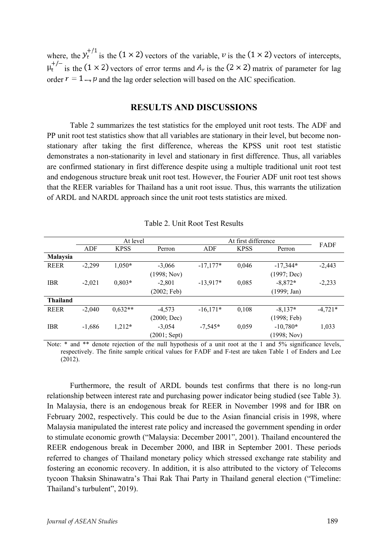where, the  $y_t^{+/1}$  is the (1 × 2) vectors of the variable, v is the (1 × 2) vectors of intercepts,  $\mu_t^{+/-}$  is the (1 × 2) vectors of error terms and  $A_r$  is the (2 × 2) matrix of parameter for lag order  $r = 1 \dots p$  and the lag order selection will based on the AIC specification.

# **RESULTS AND DISCUSSIONS**

Table 2 summarizes the test statistics for the employed unit root tests. The ADF and PP unit root test statistics show that all variables are stationary in their level, but become nonstationary after taking the first difference, whereas the KPSS unit root test statistic demonstrates a non-stationarity in level and stationary in first difference. Thus, all variables are confirmed stationary in first difference despite using a multiple traditional unit root test and endogenous structure break unit root test. However, the Fourier ADF unit root test shows that the REER variables for Thailand has a unit root issue. Thus, this warrants the utilization of ARDL and NARDL approach since the unit root tests statistics are mixed.

|                 | At level |             |                | At first difference |             |             |           |
|-----------------|----------|-------------|----------------|---------------------|-------------|-------------|-----------|
|                 | ADF      | <b>KPSS</b> | Perron         | ADF                 | <b>KPSS</b> | Perron      | FADF      |
| Malaysia        |          |             |                |                     |             |             |           |
| <b>REER</b>     | $-2,299$ | $1,050*$    | $-3,066$       | $-17,177*$          | 0,046       | $-17,344*$  | $-2,443$  |
|                 |          |             | (1998; Nov)    |                     |             | (1997; Dec) |           |
| <b>IBR</b>      | $-2,021$ | $0,803*$    | $-2,801$       | $-13,917*$          | 0,085       | $-8,872*$   | $-2,233$  |
|                 |          |             | (2002; Feb)    |                     |             | (1999; Jan) |           |
| <b>Thailand</b> |          |             |                |                     |             |             |           |
| <b>REER</b>     | $-2,040$ | $0.632**$   | $-4,573$       | $-16,171*$          | 0,108       | $-8,137*$   | $-4,721*$ |
|                 |          |             | (2000; Dec)    |                     |             | (1998; Feb) |           |
| <b>IBR</b>      | $-1,686$ | $1,212*$    | $-3,054$       | $-7.545*$           | 0,059       | $-10,780*$  | 1,033     |
|                 |          |             | $(2001;$ Sept) |                     |             | (1998; Nov) |           |

Table 2. Unit Root Test Results

Note: \* and \*\* denote rejection of the null hypothesis of a unit root at the 1 and 5% significance levels, respectively. The finite sample critical values for FADF and F-test are taken Table 1 of Enders and Lee (2012).

Furthermore, the result of ARDL bounds test confirms that there is no long-run relationship between interest rate and purchasing power indicator being studied (see Table 3). In Malaysia, there is an endogenous break for REER in November 1998 and for IBR on February 2002, respectively. This could be due to the Asian financial crisis in 1998, where Malaysia manipulated the interest rate policy and increased the government spending in order to stimulate economic growth ("Malaysia: December 2001", 2001). Thailand encountered the REER endogenous break in December 2000, and IBR in September 2001. These periods referred to changes of Thailand monetary policy which stressed exchange rate stability and fostering an economic recovery. In addition, it is also attributed to the victory of Telecoms tycoon Thaksin Shinawatra's Thai Rak Thai Party in Thailand general election ("Timeline: Thailand's turbulent", 2019).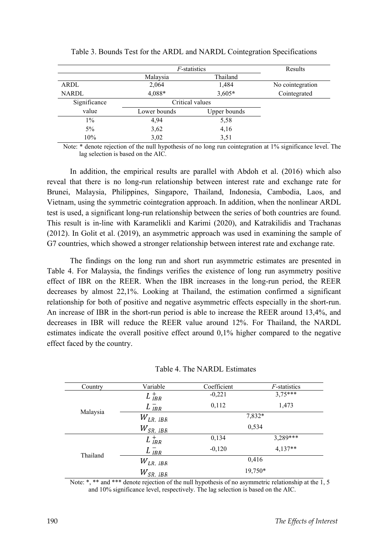|              | <i>F</i> -statistics | Results      |                  |
|--------------|----------------------|--------------|------------------|
|              | Malaysia             | Thailand     |                  |
| ARDL         | 2,064                | 1,484        | No cointegration |
| <b>NARDL</b> | 4,088*               | $3,605*$     | Cointegrated     |
| Significance | Critical values      |              |                  |
| value        | Lower bounds         | Upper bounds |                  |
| $1\%$        | 4,94                 | 5,58         |                  |
| 5%           | 3,62                 | 4,16         |                  |
| 10%          | 3,02                 | 3,51         |                  |

|  |  |  | Table 3. Bounds Test for the ARDL and NARDL Cointegration Specifications |
|--|--|--|--------------------------------------------------------------------------|
|  |  |  |                                                                          |

 Note: \* denote rejection of the null hypothesis of no long run cointegration at 1% significance level. The lag selection is based on the AIC.

In addition, the empirical results are parallel with Abdoh et al. (2016) which also reveal that there is no long-run relationship between interest rate and exchange rate for Brunei, Malaysia, Philippines, Singapore, Thailand, Indonesia, Cambodia, Laos, and Vietnam, using the symmetric cointegration approach. In addition, when the nonlinear ARDL test is used, a significant long-run relationship between the series of both countries are found. This result is in-line with Karamelikli and Karimi (2020), and Katrakilidis and Trachanas (2012). In Golit et al. (2019), an asymmetric approach was used in examining the sample of G7 countries, which showed a stronger relationship between interest rate and exchange rate.

The findings on the long run and short run asymmetric estimates are presented in Table 4. For Malaysia, the findings verifies the existence of long run asymmetry positive effect of IBR on the REER. When the IBR increases in the long-run period, the REER decreases by almost 22,1%. Looking at Thailand, the estimation confirmed a significant relationship for both of positive and negative asymmetric effects especially in the short-run. An increase of IBR in the short-run period is able to increase the REER around 13,4%, and decreases in IBR will reduce the REER value around 12%. For Thailand, the NARDL estimates indicate the overall positive effect around 0,1% higher compared to the negative effect faced by the country.

| Country  | Variable         | Coefficient | <i>F</i> -statistics |
|----------|------------------|-------------|----------------------|
|          | $L_{IBR}^+$      | $-0,221$    | $3,75***$            |
|          | $L_{IBR}^-$      | 0,112       | 1,473                |
| Malaysia | $W_{LR,~IBR}$    |             | 7,832*               |
|          | $W_{SR,~IBR}$    |             | 0,534                |
|          | $L_{IBR}^+$      | 0,134       | 3,289***             |
| Thailand | $L_{IBR}^-$      | $-0,120$    | $4,137**$            |
|          | $W_{LR,~IBR}$    |             | 0,416                |
|          | ${W}_{SR,\;IBR}$ |             | 19,750*              |

Note: \*, \*\* and \*\*\* denote rejection of the null hypothesis of no asymmetric relationship at the  $\overline{1}$ , 5 and 10% significance level, respectively. The lag selection is based on the AIC.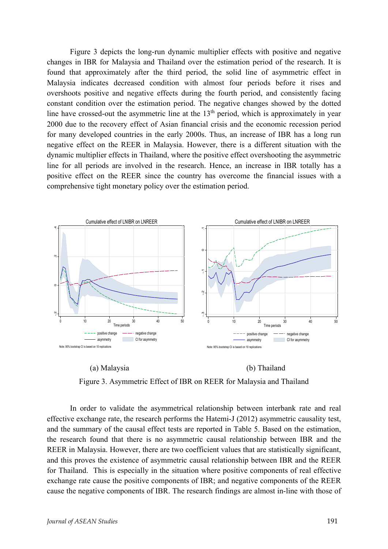Figure 3 depicts the long-run dynamic multiplier effects with positive and negative changes in IBR for Malaysia and Thailand over the estimation period of the research. It is found that approximately after the third period, the solid line of asymmetric effect in Malaysia indicates decreased condition with almost four periods before it rises and overshoots positive and negative effects during the fourth period, and consistently facing constant condition over the estimation period. The negative changes showed by the dotted line have crossed-out the asymmetric line at the  $13<sup>th</sup>$  period, which is approximately in year 2000 due to the recovery effect of Asian financial crisis and the economic recession period for many developed countries in the early 2000s. Thus, an increase of IBR has a long run negative effect on the REER in Malaysia. However, there is a different situation with the dynamic multiplier effects in Thailand, where the positive effect overshooting the asymmetric line for all periods are involved in the research. Hence, an increase in IBR totally has a positive effect on the REER since the country has overcome the financial issues with a comprehensive tight monetary policy over the estimation period.



 (a) Malaysia (b) Thailand Figure 3. Asymmetric Effect of IBR on REER for Malaysia and Thailand

In order to validate the asymmetrical relationship between interbank rate and real effective exchange rate, the research performs the Hatemi-J (2012) asymmetric causality test, and the summary of the causal effect tests are reported in Table 5. Based on the estimation, the research found that there is no asymmetric causal relationship between IBR and the REER in Malaysia. However, there are two coefficient values that are statistically significant, and this proves the existence of asymmetric causal relationship between IBR and the REER for Thailand. This is especially in the situation where positive components of real effective exchange rate cause the positive components of IBR; and negative components of the REER cause the negative components of IBR. The research findings are almost in-line with those of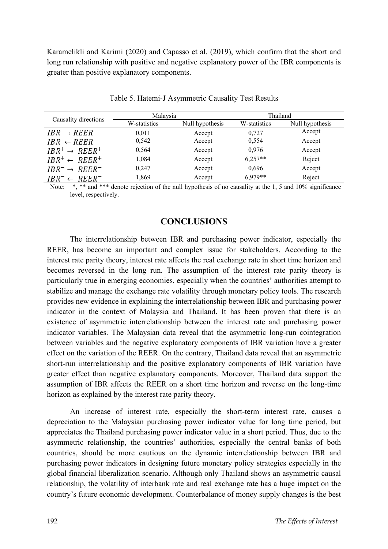Karamelikli and Karimi (2020) and Capasso et al. (2019), which confirm that the short and long run relationship with positive and negative explanatory power of the IBR components is greater than positive explanatory components.

|                                | Malaysia     |                 | Thailand     |                 |  |
|--------------------------------|--------------|-----------------|--------------|-----------------|--|
| Causality directions           | W-statistics | Null hypothesis | W-statistics | Null hypothesis |  |
| $IBR \rightarrow REER$         | 0.011        | Accept          | 0.727        | Accept          |  |
| $IBR \leftarrow REER$          | 0,542        | Accept          | 0,554        | Accept          |  |
| $IBR^+ \rightarrow REER^+$     | 0,564        | Accept          | 0.976        | Accept          |  |
| $IBR^+ \leftarrow REER^+$      | 1,084        | Accept          | $6.257**$    | Reject          |  |
| $IBR^{-} \rightarrow REER^{-}$ | 0.247        | Accept          | 0.696        | Accept          |  |
| $IBR^{-} \leftarrow REER^{-}$  | 1,869        | Accept          | $6,979**$    | Reject          |  |

Table 5. Hatemi-J Asymmetric Causality Test Results

 Note: \*, \*\* and \*\*\* denote rejection of the null hypothesis of no causality at the 1, 5 and 10% significance level, respectively.

# **CONCLUSIONS**

The interrelationship between IBR and purchasing power indicator, especially the REER, has become an important and complex issue for stakeholders. According to the interest rate parity theory, interest rate affects the real exchange rate in short time horizon and becomes reversed in the long run. The assumption of the interest rate parity theory is particularly true in emerging economies, especially when the countries' authorities attempt to stabilize and manage the exchange rate volatility through monetary policy tools. The research provides new evidence in explaining the interrelationship between IBR and purchasing power indicator in the context of Malaysia and Thailand. It has been proven that there is an existence of asymmetric interrelationship between the interest rate and purchasing power indicator variables. The Malaysian data reveal that the asymmetric long-run cointegration between variables and the negative explanatory components of IBR variation have a greater effect on the variation of the REER. On the contrary, Thailand data reveal that an asymmetric short-run interrelationship and the positive explanatory components of IBR variation have greater effect than negative explanatory components. Moreover, Thailand data support the assumption of IBR affects the REER on a short time horizon and reverse on the long-time horizon as explained by the interest rate parity theory.

An increase of interest rate, especially the short-term interest rate, causes a depreciation to the Malaysian purchasing power indicator value for long time period, but appreciates the Thailand purchasing power indicator value in a short period. Thus, due to the asymmetric relationship, the countries' authorities, especially the central banks of both countries, should be more cautious on the dynamic interrelationship between IBR and purchasing power indicators in designing future monetary policy strategies especially in the global financial liberalization scenario. Although only Thailand shows an asymmetric causal relationship, the volatility of interbank rate and real exchange rate has a huge impact on the country's future economic development. Counterbalance of money supply changes is the best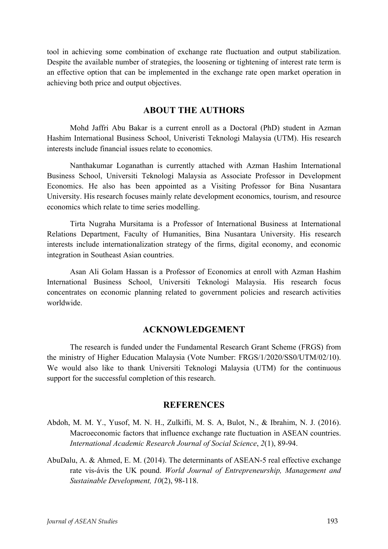tool in achieving some combination of exchange rate fluctuation and output stabilization. Despite the available number of strategies, the loosening or tightening of interest rate term is an effective option that can be implemented in the exchange rate open market operation in achieving both price and output objectives.

# **ABOUT THE AUTHORS**

Mohd Jaffri Abu Bakar is a current enroll as a Doctoral (PhD) student in Azman Hashim International Business School, Univeristi Teknologi Malaysia (UTM). His research interests include financial issues relate to economics.

Nanthakumar Loganathan is currently attached with Azman Hashim International Business School, Universiti Teknologi Malaysia as Associate Professor in Development Economics. He also has been appointed as a Visiting Professor for Bina Nusantara University. His research focuses mainly relate development economics, tourism, and resource economics which relate to time series modelling.

Tirta Nugraha Mursitama is a Professor of International Business at International Relations Department, Faculty of Humanities, Bina Nusantara University. His research interests include internationalization strategy of the firms, digital economy, and economic integration in Southeast Asian countries.

Asan Ali Golam Hassan is a Professor of Economics at enroll with Azman Hashim International Business School, Universiti Teknologi Malaysia. His research focus concentrates on economic planning related to government policies and research activities worldwide.

#### **ACKNOWLEDGEMENT**

The research is funded under the Fundamental Research Grant Scheme (FRGS) from the ministry of Higher Education Malaysia (Vote Number: FRGS/1/2020/SS0/UTM/02/10). We would also like to thank Universiti Teknologi Malaysia (UTM) for the continuous support for the successful completion of this research.

#### **REFERENCES**

- Abdoh, M. M. Y., Yusof, M. N. H., Zulkifli, M. S. A, Bulot, N., & Ibrahim, N. J. (2016). Macroeconomic factors that influence exchange rate fluctuation in ASEAN countries. *International Academic Research Journal of Social Science*, *2*(1), 89-94.
- AbuDalu, A. & Ahmed, E. M. (2014). The determinants of ASEAN-5 real effective exchange rate vis-ávis the UK pound. *World Journal of Entrepreneurship, Management and Sustainable Development, 10*(2), 98-118.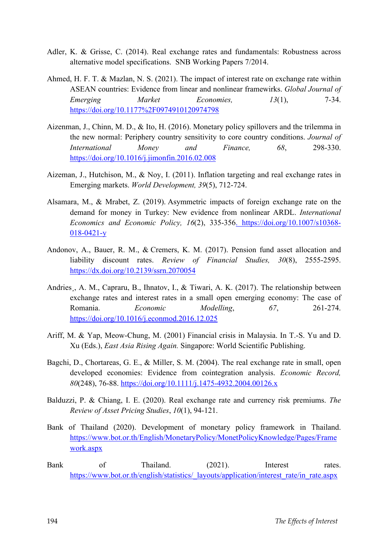- Adler, K. & Grisse, C. (2014). Real exchange rates and fundamentals: Robustness across alternative model specifications. SNB Working Papers 7/2014.
- Ahmed, H. F. T. & Mazlan, N. S. (2021). The impact of interest rate on exchange rate within ASEAN countries: Evidence from linear and nonlinear framewirks. *Global Journal of Emerging Market Economies, 13*(1), 7-34. <https://doi.org/10.1177%2F0974910120974798>
- Aizenman, J., Chinn, M. D., & Ito, H. (2016). Monetary policy spillovers and the trilemma in the new normal: Periphery country sensitivity to core country conditions. *Journal of International Money and Finance, 68*, 298-330. <https://doi.org/10.1016/j.jimonfin.2016.02.008>
- Aizeman, J., Hutchison, M., & Noy, I. (2011). Inflation targeting and real exchange rates in Emerging markets. *World Development, 39*(5), 712-724.
- Alsamara, M., & Mrabet, Z. (2019). Asymmetric impacts of foreign exchange rate on the demand for money in Turkey: New evidence from nonlinear ARDL. *International Economics and Economic Policy, 16*(2), 335-356. [https://doi.org/10.1007/s10368-](https://doi.org/10.1007/s10368-018-0421-y) [018-0421-y](https://doi.org/10.1007/s10368-018-0421-y)
- Andonov, A., Bauer, R. M., & Cremers, K. M. (2017). Pension fund asset allocation and liability discount rates. *Review of Financial Studies, 30*(8), 2555-2595. <https://dx.doi.org/10.2139/ssrn.2070054>
- Andries, A. M., Capraru, B., Ihnatov, I., & Tiwari, A. K. (2017). The relationship between exchange rates and interest rates in a small open emerging economy: The case of Romania. *Economic Modelling*, *67*, 261-274. <https://doi.org/10.1016/j.econmod.2016.12.025>
- Ariff, M. & Yap, Meow-Chung, M. (2001) Financial crisis in Malaysia. In T.-S. Yu and D. Xu (Eds.), *East Asia Rising Again.* Singapore: World Scientific Publishing.
- Bagchi, D., Chortareas, G. E., & Miller, S. M. (2004). The real exchange rate in small, open developed economies: Evidence from cointegration analysis. *Economic Record, 80*(248), 76-88. <https://doi.org/10.1111/j.1475-4932.2004.00126.x>
- Balduzzi, P. & Chiang, I. E. (2020). Real exchange rate and currency risk premiums. *The Review of Asset Pricing Studies*, *10*(1), 94-121.
- Bank of Thailand (2020). Development of monetary policy framework in Thailand. [https://www.bot.or.th/English/MonetaryPolicy/MonetPolicyKnowledge/Pages/Frame](https://www.bot.or.th/English/MonetaryPolicy/MonetPolicyKnowledge/Pages/Framework.aspx) [work.aspx](https://www.bot.or.th/English/MonetaryPolicy/MonetPolicyKnowledge/Pages/Framework.aspx)
- Bank of Thailand. (2021). Interest rates. [https://www.bot.or.th/english/statistics/\\_layouts/application/interest\\_rate/in\\_rate.aspx](https://www.bot.or.th/english/statistics/_layouts/application/interest_rate/in_rate.aspx)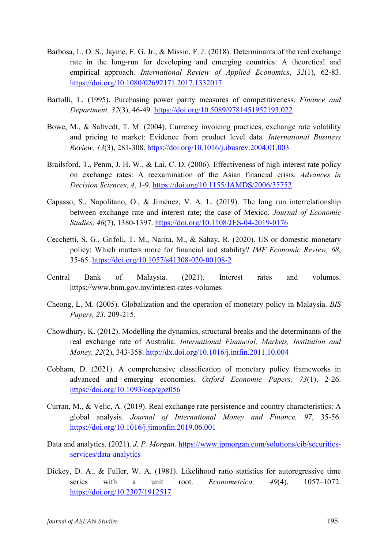- Barbosa, L. O. S., Jayme, F. G. Jr., & Missio, F. J. (2018). Determinants of the real exchange rate in the long-run for developing and emerging countries: A theoretical and empirical approach. *International Review of Applied Economics*, *32*(1), 62-83. <https://doi.org/10.1080/02692171.2017.1332017>
- Bartolli, L. (1995). Purchasing power parity measures of competitiveness. *Finance and Department, 32*(3), 46-49. <https://doi.org/10.5089/9781451952193.022>
- Bowe, M., & Saltvedt, T. M. (2004). Currency invoicing practices, exchange rate volatility and pricing to market: Evidence from product level data*. International Business Review, 13*(3), 281-308. <https://doi.org/10.1016/j.ibusrev.2004.01.003>
- Brailsford, T., Penm, J. H. W., & Lai, C. D. (2006). Effectiveness of high interest rate policy on exchange rates: A reexamination of the Asian financial crisis. *Advances in Decision Sciences*, *4*, 1-9. <https://doi.org/10.1155/JAMDS/2006/35752>
- Capasso, S., Napolitano, O., & Jiménez, V. A. L. (2019). The long run interrelationship between exchange rate and interest rate; the case of Mexico. *Journal of Economic Studies, 46*(7), 1380-1397. <https://doi.org/10.1108/JES-04-2019-0176>
- Cecchetti, S. G., Grifoli, T. M., Narita, M., & Sahay, R. (2020). US or domestic monetary policy: Which matters more for financial and stability? *IMF Economic Review, 68*, 35-65. <https://doi.org/10.1057/s41308-020-00108-2>
- Central Bank of Malaysia. (2021). Interest rates and volumes. <https://www.bnm.gov.my/interest-rates-volumes>
- Cheong, L. M. (2005). Globalization and the operation of monetary policy in Malaysia. *BIS Papers, 23*, 209-215.
- Chowdhury, K. (2012). Modelling the dynamics, structural breaks and the determinants of the real exchange rate of Australia. *International Financial, Markets, Institution and Money, 22*(2), 343-358. <http://dx.doi.org/10.1016/j.intfin.2011.10.004>
- Cobham, D. (2021). A comprehensive classification of monetary policy frameworks in advanced and emerging economies. *Oxford Economic Papers, 73*(1), 2-26. <https://doi.org/10.1093/oep/gpz056>
- Curran, M., & Velic, A. (2019). Real exchange rate persistence and country characteristics: A global analysis. *Journal of International Money and Finance, 97*, 35-56. <https://doi.org/10.1016/j.jimonfin.2019.06.001>
- Data and analytics. (2021). *J. P. Morgan.* [https://www.jpmorgan.com/solutions/cib/securities](https://www.jpmorgan.com/solutions/cib/securities-services/data-analytics)[services/data-analytics](https://www.jpmorgan.com/solutions/cib/securities-services/data-analytics)
- Dickey, D. A., & Fuller, W. A. (1981). Likelihood ratio statistics for autoregressive time series with a unit root. *Econometrica, 49*(4), 1057–1072. <https://doi.org/10.2307/1912517>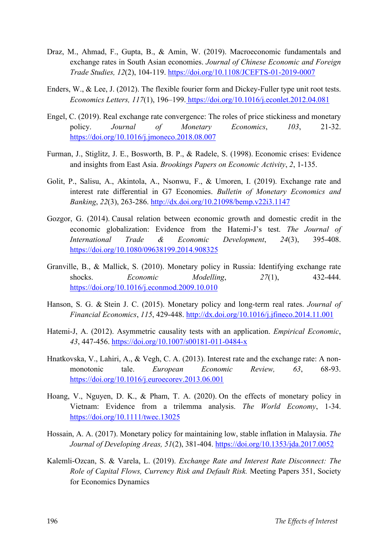- Draz, M., Ahmad, F., Gupta, B., & Amin, W. (2019). Macroeconomic fundamentals and exchange rates in South Asian economies. *Journal of Chinese Economic and Foreign Trade Studies, 12*(2), 104-119. <https://doi.org/10.1108/JCEFTS-01-2019-0007>
- Enders, W., & Lee, J. (2012). The flexible fourier form and Dickey-Fuller type unit root tests. *Economics Letters, 117*(1), 196–199. <https://doi.org/10.1016/j.econlet.2012.04.081>
- Engel, C. (2019). Real exchange rate convergence: The roles of price stickiness and monetary policy. *Journal of Monetary Economics*, *103*, 21-32. <https://doi.org/10.1016/j.jmoneco.2018.08.007>
- Furman, J., Stiglitz, J. E., Bosworth, B. P., & Radele, S. (1998). Economic crises: Evidence and insights from East Asia. *Brookings Papers on Economic Activity*, *2*, 1-135.
- Golit, P., Salisu, A., Akintola, A., Nsonwu, F., & Umoren, I. (2019). Exchange rate and interest rate differential in G7 Economies. *Bulletin of Monetary Economics and Banking*, *22*(3), 263-286. <http://dx.doi.org/10.21098/bemp.v22i3.1147>
- Gozgor, G. (2014). Causal relation between economic growth and domestic credit in the economic globalization: Evidence from the Hatemi-J's test. *The Journal of International Trade & Economic Development*, *24*(3), 395-408. <https://doi.org/10.1080/09638199.2014.908325>
- Granville, B., & Mallick, S. (2010). Monetary policy in Russia: Identifying exchange rate shocks. *Economic Modelling*, *27*(1), 432-444. <https://doi.org/10.1016/j.econmod.2009.10.010>
- Hanson, S. G. & Stein J. C. (2015). Monetary policy and long-term real rates. *Journal of Financial Economics*, *115*, 429-448. <http://dx.doi.org/10.1016/j.jfineco.2014.11.001>
- Hatemi-J, A. (2012). Asymmetric causality tests with an application. *Empirical Economic*, *43*, 447-456. <https://doi.org/10.1007/s00181-011-0484-x>
- Hnatkovska, V., Lahiri, A., & Vegh, C. A. (2013). Interest rate and the exchange rate: A nonmonotonic tale. *European Economic Review, 63*, 68-93. <https://doi.org/10.1016/j.euroecorev.2013.06.001>
- Hoang, V., Nguyen, D. K., & Pham, T. A. (2020). On the effects of monetary policy in Vietnam: Evidence from a trilemma analysis. *The World Economy*, 1-34. <https://doi.org/10.1111/twec.13025>
- Hossain, A. A. (2017). Monetary policy for maintaining low, stable inflation in Malaysia. *The Journal of Developing Areas, 51*(2), 381-404.<https://doi.org/10.1353/jda.2017.0052>
- Kalemli-Ozcan, S. & Varela, L. (2019). *Exchange Rate and Interest Rate Disconnect: The Role of Capital Flows, Currency Risk and Default Risk.* Meeting Papers 351, Society for Economics Dynamics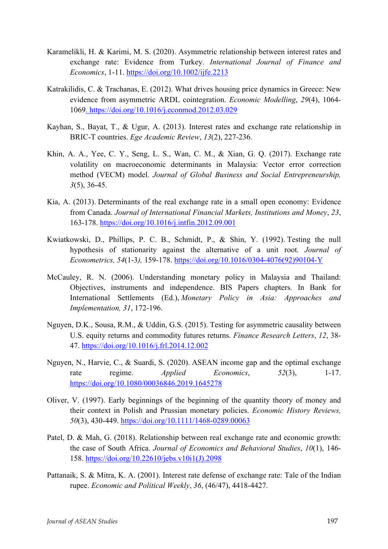- Karamelikli, H. & Karimi, M. S. (2020). Asymmetric relationship between interest rates and exchange rate: Evidence from Turkey. *International Journal of Finance and Economics*, 1-11. <https://doi.org/10.1002/ijfe.2213>
- Katrakilidis, C. & Trachanas, E. (2012). What drives housing price dynamics in Greece: New evidence from asymmetric ARDL cointegration. *Economic Modelling*, *29*(4), 1064- 1069. <https://doi.org/10.1016/j.econmod.2012.03.029>
- Kayhan, S., Bayat, T., & Ugur, A. (2013). Interest rates and exchange rate relationship in BRIC-T countries. *Ege Academic Review*, *13*(2), 227-236.
- Khin, A. A., Yee, C. Y., Seng, L. S., Wan, C. M., & Xian, G. Q. (2017). Exchange rate volatility on macroeconomic determinants in Malaysia: Vector error correction method (VECM) model. *Journal of Global Business and Social Entrepreneurship, 3*(5), 36-45.
- Kia, A. (2013). Determinants of the real exchange rate in a small open economy: Evidence from Canada. *Journal of International Financial Markets, Institutions and Money*, *23*, 163-178. <https://doi.org/10.1016/j.intfin.2012.09.001>
- Kwiatkowski, D., Phillips, P. C. B., Schmidt, P., & Shin, Y. (1992). Testing the null hypothesis of stationarity against the alternative of a unit root*. Journal of Econometrics, 54*(1-3*),* 159-178. [https://doi.org/10.1016/0304-4076\(92\)90104-Y](https://doi.org/10.1016/0304-4076(92)90104-Y)
- McCauley, R. N. (2006). Understanding monetary policy in Malaysia and Thailand: Objectives, instruments and independence. BIS Papers chapters. In Bank for International Settlements (Ed.), *[Monetary Policy in Asia: Approaches and](https://ideas.repec.org/b/bis/bisbps/31.html)  [Implementation,](https://ideas.repec.org/b/bis/bisbps/31.html) 31*, 172-196.
- Nguyen, D.K., Sousa, R.M., & Uddin, G.S. (2015). Testing for asymmetric causality between U.S. equity returns and commodity futures returns. *Finance Research Letters*, *12*, 38- 47. <https://doi.org/10.1016/j.frl.2014.12.002>
- Nguyen, N., Harvie, C., & Suardi, S. (2020). ASEAN income gap and the optimal exchange rate regime. *Applied Economics*, 52(3), 1-17. <https://doi.org/10.1080/00036846.2019.1645278>
- Oliver, V. (1997). Early beginnings of the beginning of the quantity theory of money and their context in Polish and Prussian monetary policies. *Economic History Reviews, 50*(3), 430-449. <https://doi.org/10.1111/1468-0289.00063>
- Patel, D. & Mah, G. (2018). Relationship between real exchange rate and economic growth: the case of South Africa. *Journal of Economics and Behavioral Studies*, *10*(1), 146- 158. [https://doi.org/10.22610/jebs.v10i1\(J\).2098](https://doi.org/10.22610/jebs.v10i1(J).2098)
- Pattanaik, S. & Mitra, K. A. (2001). Interest rate defense of exchange rate: Tale of the Indian rupee. *Economic and Political Weekly*, *36*, (46/47), 4418-4427.